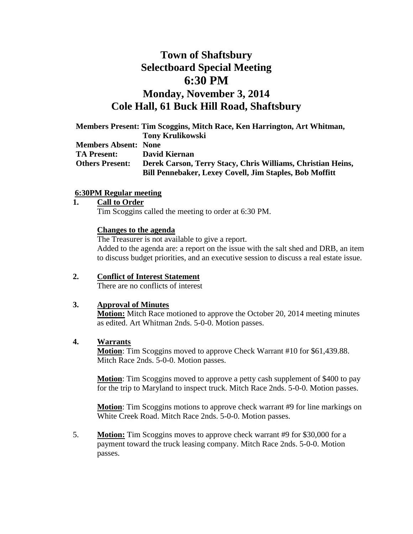# **Town of Shaftsbury Selectboard Special Meeting 6:30 PM Monday, November 3, 2014 Cole Hall, 61 Buck Hill Road, Shaftsbury**

|                             | Members Present: Tim Scoggins, Mitch Race, Ken Harrington, Art Whitman, |
|-----------------------------|-------------------------------------------------------------------------|
|                             | <b>Tony Krulikowski</b>                                                 |
| <b>Members Absent: None</b> |                                                                         |
| <b>TA Present:</b>          | David Kiernan                                                           |
| <b>Others Present:</b>      | Derek Carson, Terry Stacy, Chris Williams, Christian Heins,             |
|                             | <b>Bill Pennebaker, Lexey Covell, Jim Staples, Bob Moffitt</b>          |

#### **6:30PM Regular meeting**

#### **1. Call to Order**

Tim Scoggins called the meeting to order at 6:30 PM.

#### **Changes to the agenda**

The Treasurer is not available to give a report. Added to the agenda are: a report on the issue with the salt shed and DRB, an item to discuss budget priorities, and an executive session to discuss a real estate issue.

# **2. Conflict of Interest Statement**

There are no conflicts of interest

#### **3. Approval of Minutes**

**Motion:** Mitch Race motioned to approve the October 20, 2014 meeting minutes as edited. Art Whitman 2nds. 5-0-0. Motion passes.

#### **4. Warrants**

**Motion**: Tim Scoggins moved to approve Check Warrant #10 for \$61,439.88. Mitch Race 2nds. 5-0-0. Motion passes.

**Motion**: Tim Scoggins moved to approve a petty cash supplement of \$400 to pay for the trip to Maryland to inspect truck. Mitch Race 2nds. 5-0-0. Motion passes.

**Motion**: Tim Scoggins motions to approve check warrant #9 for line markings on White Creek Road. Mitch Race 2nds. 5-0-0. Motion passes.

5. **Motion:** Tim Scoggins moves to approve check warrant #9 for \$30,000 for a payment toward the truck leasing company. Mitch Race 2nds. 5-0-0. Motion passes.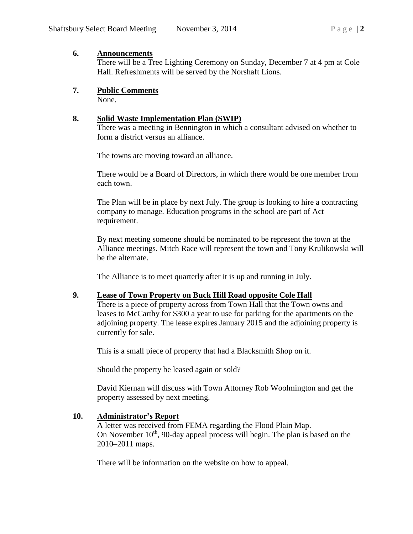#### **6. Announcements**

There will be a Tree Lighting Ceremony on Sunday, December 7 at 4 pm at Cole Hall. Refreshments will be served by the Norshaft Lions.

### **7. Public Comments**

None.

### **8. Solid Waste Implementation Plan (SWIP)**

There was a meeting in Bennington in which a consultant advised on whether to form a district versus an alliance.

The towns are moving toward an alliance.

There would be a Board of Directors, in which there would be one member from each town.

The Plan will be in place by next July. The group is looking to hire a contracting company to manage. Education programs in the school are part of Act requirement.

By next meeting someone should be nominated to be represent the town at the Alliance meetings. Mitch Race will represent the town and Tony Krulikowski will be the alternate.

The Alliance is to meet quarterly after it is up and running in July.

#### **9. Lease of Town Property on Buck Hill Road opposite Cole Hall**

There is a piece of property across from Town Hall that the Town owns and leases to McCarthy for \$300 a year to use for parking for the apartments on the adjoining property. The lease expires January 2015 and the adjoining property is currently for sale.

This is a small piece of property that had a Blacksmith Shop on it.

Should the property be leased again or sold?

David Kiernan will discuss with Town Attorney Rob Woolmington and get the property assessed by next meeting.

### **10. Administrator's Report**

A letter was received from FEMA regarding the Flood Plain Map. On November  $10<sup>th</sup>$ , 90-day appeal process will begin. The plan is based on the 2010–2011 maps.

There will be information on the website on how to appeal.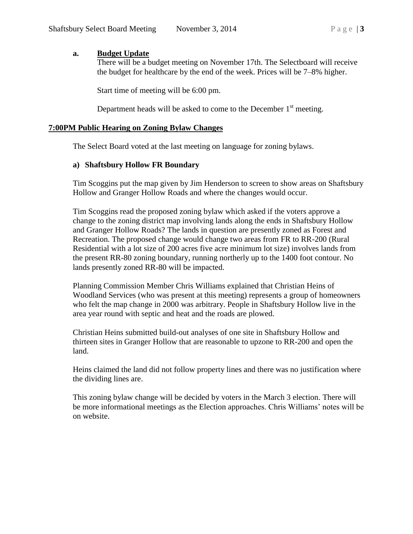#### **a. Budget Update**

There will be a budget meeting on November 17th. The Selectboard will receive the budget for healthcare by the end of the week. Prices will be 7–8% higher.

Start time of meeting will be 6:00 pm.

Department heads will be asked to come to the December  $1<sup>st</sup>$  meeting.

#### **7:00PM Public Hearing on Zoning Bylaw Changes**

The Select Board voted at the last meeting on language for zoning bylaws.

#### **a) Shaftsbury Hollow FR Boundary**

Tim Scoggins put the map given by Jim Henderson to screen to show areas on Shaftsbury Hollow and Granger Hollow Roads and where the changes would occur.

Tim Scoggins read the proposed zoning bylaw which asked if the voters approve a change to the zoning district map involving lands along the ends in Shaftsbury Hollow and Granger Hollow Roads? The lands in question are presently zoned as Forest and Recreation. The proposed change would change two areas from FR to RR-200 (Rural Residential with a lot size of 200 acres five acre minimum lot size) involves lands from the present RR-80 zoning boundary, running northerly up to the 1400 foot contour. No lands presently zoned RR-80 will be impacted.

Planning Commission Member Chris Williams explained that Christian Heins of Woodland Services (who was present at this meeting) represents a group of homeowners who felt the map change in 2000 was arbitrary. People in Shaftsbury Hollow live in the area year round with septic and heat and the roads are plowed.

Christian Heins submitted build-out analyses of one site in Shaftsbury Hollow and thirteen sites in Granger Hollow that are reasonable to upzone to RR-200 and open the land.

Heins claimed the land did not follow property lines and there was no justification where the dividing lines are.

This zoning bylaw change will be decided by voters in the March 3 election. There will be more informational meetings as the Election approaches. Chris Williams' notes will be on website.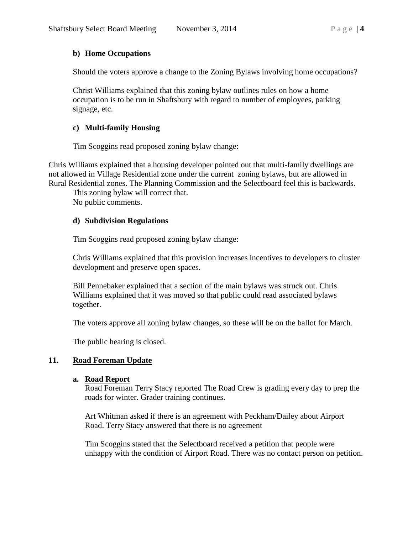#### **b) Home Occupations**

Should the voters approve a change to the Zoning Bylaws involving home occupations?

Christ Williams explained that this zoning bylaw outlines rules on how a home occupation is to be run in Shaftsbury with regard to number of employees, parking signage, etc.

#### **c) Multi-family Housing**

Tim Scoggins read proposed zoning bylaw change:

Chris Williams explained that a housing developer pointed out that multi-family dwellings are not allowed in Village Residential zone under the current zoning bylaws, but are allowed in Rural Residential zones. The Planning Commission and the Selectboard feel this is backwards.

This zoning bylaw will correct that.

No public comments.

#### **d) Subdivision Regulations**

Tim Scoggins read proposed zoning bylaw change:

Chris Williams explained that this provision increases incentives to developers to cluster development and preserve open spaces.

Bill Pennebaker explained that a section of the main bylaws was struck out. Chris Williams explained that it was moved so that public could read associated bylaws together.

The voters approve all zoning bylaw changes, so these will be on the ballot for March.

The public hearing is closed.

### **11. Road Foreman Update**

#### **a. Road Report**

Road Foreman Terry Stacy reported The Road Crew is grading every day to prep the roads for winter. Grader training continues.

Art Whitman asked if there is an agreement with Peckham/Dailey about Airport Road. Terry Stacy answered that there is no agreement

Tim Scoggins stated that the Selectboard received a petition that people were unhappy with the condition of Airport Road. There was no contact person on petition.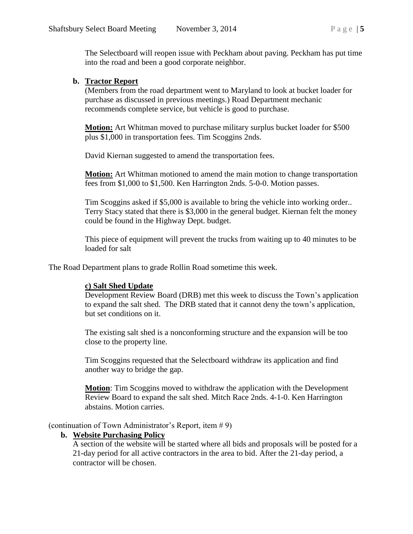The Selectboard will reopen issue with Peckham about paving. Peckham has put time into the road and been a good corporate neighbor.

#### **b. Tractor Report**

(Members from the road department went to Maryland to look at bucket loader for purchase as discussed in previous meetings.) Road Department mechanic recommends complete service, but vehicle is good to purchase.

**Motion:** Art Whitman moved to purchase military surplus bucket loader for \$500 plus \$1,000 in transportation fees. Tim Scoggins 2nds.

David Kiernan suggested to amend the transportation fees.

**Motion:** Art Whitman motioned to amend the main motion to change transportation fees from \$1,000 to \$1,500. Ken Harrington 2nds. 5-0-0. Motion passes.

Tim Scoggins asked if \$5,000 is available to bring the vehicle into working order.. Terry Stacy stated that there is \$3,000 in the general budget. Kiernan felt the money could be found in the Highway Dept. budget.

This piece of equipment will prevent the trucks from waiting up to 40 minutes to be loaded for salt

The Road Department plans to grade Rollin Road sometime this week.

### **c) Salt Shed Update**

Development Review Board (DRB) met this week to discuss the Town's application to expand the salt shed. The DRB stated that it cannot deny the town's application, but set conditions on it.

The existing salt shed is a nonconforming structure and the expansion will be too close to the property line.

Tim Scoggins requested that the Selectboard withdraw its application and find another way to bridge the gap.

**Motion**: Tim Scoggins moved to withdraw the application with the Development Review Board to expand the salt shed. Mitch Race 2nds. 4-1-0. Ken Harrington abstains. Motion carries.

(continuation of Town Administrator's Report, item # 9)

### **b. Website Purchasing Policy**

A section of the website will be started where all bids and proposals will be posted for a 21-day period for all active contractors in the area to bid. After the 21-day period, a contractor will be chosen.